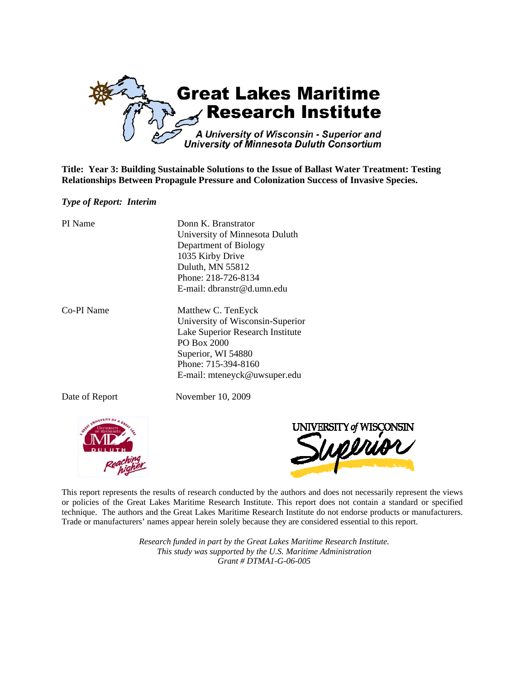

**Title: Year 3: Building Sustainable Solutions to the Issue of Ballast Water Treatment: Testing Relationships Between Propagule Pressure and Colonization Success of Invasive Species.** 

### *Type of Report: Interim*

| PI Name        | Donn K. Branstrator<br>University of Minnesota Duluth<br>Department of Biology<br>1035 Kirby Drive<br>Duluth, MN 55812<br>Phone: 218-726-8134<br>E-mail: dbranstr@d.umn.edu            |
|----------------|----------------------------------------------------------------------------------------------------------------------------------------------------------------------------------------|
| Co-PI Name     | Matthew C. TenEyck<br>University of Wisconsin-Superior<br>Lake Superior Research Institute<br>PO Box 2000<br>Superior, WI 54880<br>Phone: 715-394-8160<br>E-mail: mteneyck@uwsuper.edu |
| Date of Report | November 10, 2009                                                                                                                                                                      |



This report represents the results of research conducted by the authors and does not necessarily represent the views or policies of the Great Lakes Maritime Research Institute. This report does not contain a standard or specified technique. The authors and the Great Lakes Maritime Research Institute do not endorse products or manufacturers. Trade or manufacturers' names appear herein solely because they are considered essential to this report.

> *Research funded in part by the Great Lakes Maritime Research Institute. This study was supported by the U.S. Maritime Administration Grant # DTMA1-G-06-005*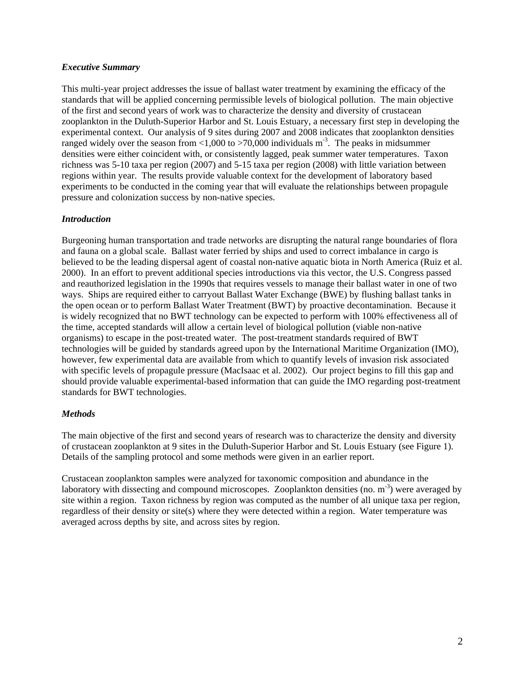# *Executive Summary*

This multi-year project addresses the issue of ballast water treatment by examining the efficacy of the standards that will be applied concerning permissible levels of biological pollution. The main objective of the first and second years of work was to characterize the density and diversity of crustacean zooplankton in the Duluth-Superior Harbor and St. Louis Estuary, a necessary first step in developing the experimental context. Our analysis of 9 sites during 2007 and 2008 indicates that zooplankton densities ranged widely over the season from <1,000 to >70,000 individuals  $m<sup>3</sup>$ . The peaks in midsummer densities were either coincident with, or consistently lagged, peak summer water temperatures. Taxon richness was 5-10 taxa per region (2007) and 5-15 taxa per region (2008) with little variation between regions within year. The results provide valuable context for the development of laboratory based experiments to be conducted in the coming year that will evaluate the relationships between propagule pressure and colonization success by non-native species.

# *Introduction*

Burgeoning human transportation and trade networks are disrupting the natural range boundaries of flora and fauna on a global scale. Ballast water ferried by ships and used to correct imbalance in cargo is believed to be the leading dispersal agent of coastal non-native aquatic biota in North America (Ruiz et al. 2000). In an effort to prevent additional species introductions via this vector, the U.S. Congress passed and reauthorized legislation in the 1990s that requires vessels to manage their ballast water in one of two ways. Ships are required either to carryout Ballast Water Exchange (BWE) by flushing ballast tanks in the open ocean or to perform Ballast Water Treatment (BWT) by proactive decontamination. Because it is widely recognized that no BWT technology can be expected to perform with 100% effectiveness all of the time, accepted standards will allow a certain level of biological pollution (viable non-native organisms) to escape in the post-treated water. The post-treatment standards required of BWT technologies will be guided by standards agreed upon by the International Maritime Organization (IMO), however, few experimental data are available from which to quantify levels of invasion risk associated with specific levels of propagule pressure (MacIsaac et al. 2002). Our project begins to fill this gap and should provide valuable experimental-based information that can guide the IMO regarding post-treatment standards for BWT technologies.

### *Methods*

The main objective of the first and second years of research was to characterize the density and diversity of crustacean zooplankton at 9 sites in the Duluth-Superior Harbor and St. Louis Estuary (see Figure 1). Details of the sampling protocol and some methods were given in an earlier report.

Crustacean zooplankton samples were analyzed for taxonomic composition and abundance in the laboratory with dissecting and compound microscopes. Zooplankton densities (no.  $m<sup>-3</sup>$ ) were averaged by site within a region. Taxon richness by region was computed as the number of all unique taxa per region, regardless of their density or site(s) where they were detected within a region. Water temperature was averaged across depths by site, and across sites by region.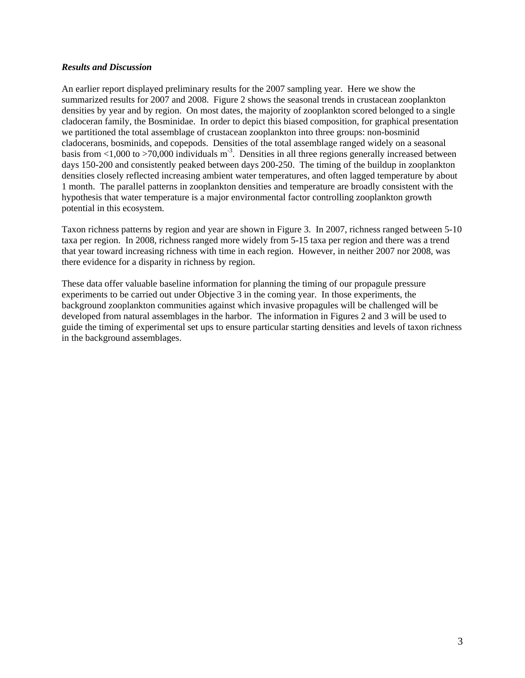### *Results and Discussion*

An earlier report displayed preliminary results for the 2007 sampling year. Here we show the summarized results for 2007 and 2008. Figure 2 shows the seasonal trends in crustacean zooplankton densities by year and by region. On most dates, the majority of zooplankton scored belonged to a single cladoceran family, the Bosminidae. In order to depict this biased composition, for graphical presentation we partitioned the total assemblage of crustacean zooplankton into three groups: non-bosminid cladocerans, bosminids, and copepods. Densities of the total assemblage ranged widely on a seasonal basis from  $\langle 1,000 \rangle$  to  $>70,000$  individuals m<sup>-3</sup>. Densities in all three regions generally increased between days 150-200 and consistently peaked between days 200-250. The timing of the buildup in zooplankton densities closely reflected increasing ambient water temperatures, and often lagged temperature by about 1 month. The parallel patterns in zooplankton densities and temperature are broadly consistent with the hypothesis that water temperature is a major environmental factor controlling zooplankton growth potential in this ecosystem.

Taxon richness patterns by region and year are shown in Figure 3. In 2007, richness ranged between 5-10 taxa per region. In 2008, richness ranged more widely from 5-15 taxa per region and there was a trend that year toward increasing richness with time in each region. However, in neither 2007 nor 2008, was there evidence for a disparity in richness by region.

These data offer valuable baseline information for planning the timing of our propagule pressure experiments to be carried out under Objective 3 in the coming year. In those experiments, the background zooplankton communities against which invasive propagules will be challenged will be developed from natural assemblages in the harbor. The information in Figures 2 and 3 will be used to guide the timing of experimental set ups to ensure particular starting densities and levels of taxon richness in the background assemblages.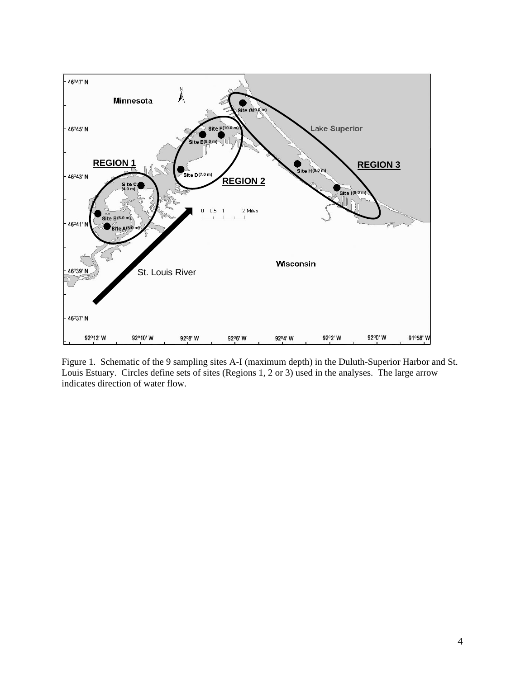

Figure 1. Schematic of the 9 sampling sites A-I (maximum depth) in the Duluth-Superior Harbor and St. Louis Estuary. Circles define sets of sites (Regions 1, 2 or 3) used in the analyses. The large arrow indicates direction of water flow.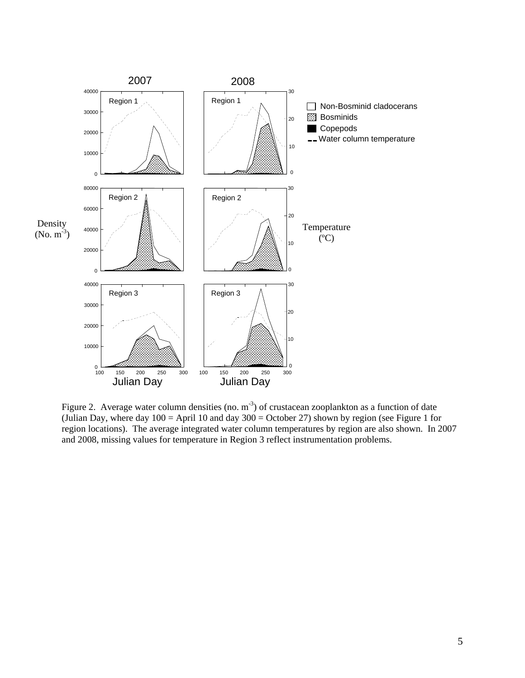

Figure 2. Average water column densities (no. m<sup>-3</sup>) of crustacean zooplankton as a function of date (Julian Day, where day  $100 =$  April 10 and day  $300 =$  October 27) shown by region (see Figure 1 for region locations). The average integrated water column temperatures by region are also shown. In 2007 and 2008, missing values for temperature in Region 3 reflect instrumentation problems.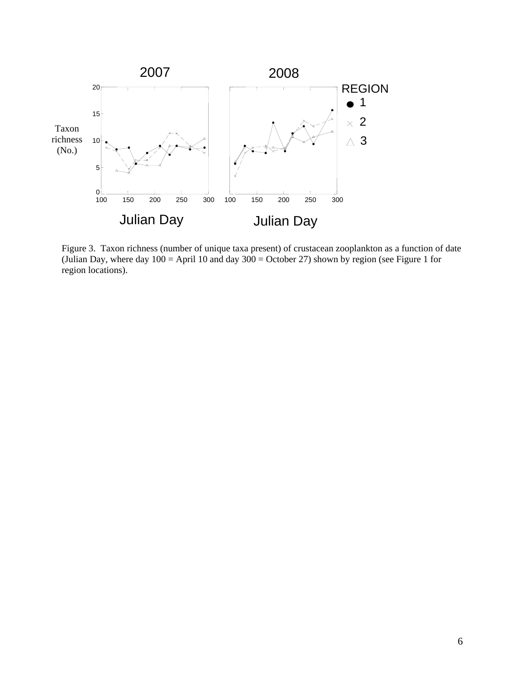

Figure 3. Taxon richness (number of unique taxa present) of crustacean zooplankton as a function of date (Julian Day, where day  $100 =$  April 10 and day  $300 =$  October 27) shown by region (see Figure 1 for region locations).